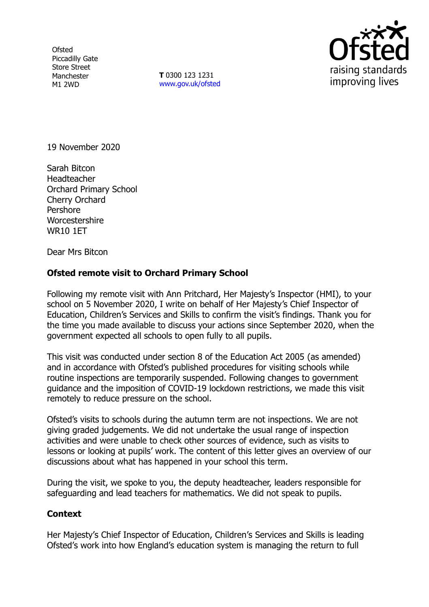**Ofsted** Piccadilly Gate Store Street Manchester M1 2WD

**T** 0300 123 1231 [www.gov.uk/ofsted](http://www.gov.uk/ofsted)



19 November 2020

Sarah Bitcon **Headteacher** Orchard Primary School Cherry Orchard Pershore **Worcestershire** WR10 1ET

Dear Mrs Bitcon

## **Ofsted remote visit to Orchard Primary School**

Following my remote visit with Ann Pritchard, Her Majesty's Inspector (HMI), to your school on 5 November 2020, I write on behalf of Her Majesty's Chief Inspector of Education, Children's Services and Skills to confirm the visit's findings. Thank you for the time you made available to discuss your actions since September 2020, when the government expected all schools to open fully to all pupils.

This visit was conducted under section 8 of the Education Act 2005 (as amended) and in accordance with Ofsted's published procedures for visiting schools while routine inspections are temporarily suspended. Following changes to government guidance and the imposition of COVID-19 lockdown restrictions, we made this visit remotely to reduce pressure on the school.

Ofsted's visits to schools during the autumn term are not inspections. We are not giving graded judgements. We did not undertake the usual range of inspection activities and were unable to check other sources of evidence, such as visits to lessons or looking at pupils' work. The content of this letter gives an overview of our discussions about what has happened in your school this term.

During the visit, we spoke to you, the deputy headteacher, leaders responsible for safeguarding and lead teachers for mathematics. We did not speak to pupils.

## **Context**

Her Majesty's Chief Inspector of Education, Children's Services and Skills is leading Ofsted's work into how England's education system is managing the return to full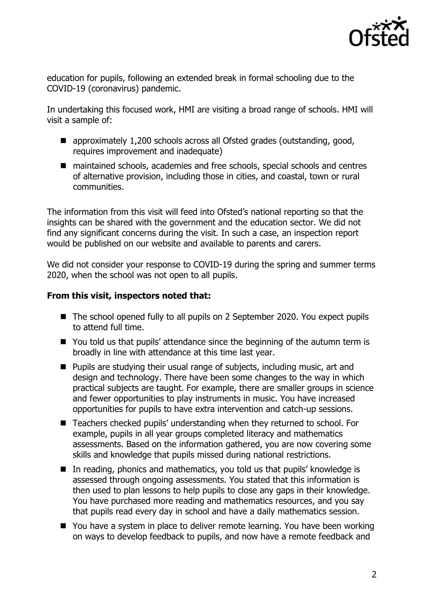

education for pupils, following an extended break in formal schooling due to the COVID-19 (coronavirus) pandemic.

In undertaking this focused work, HMI are visiting a broad range of schools. HMI will visit a sample of:

- approximately 1,200 schools across all Ofsted grades (outstanding, good, requires improvement and inadequate)
- maintained schools, academies and free schools, special schools and centres of alternative provision, including those in cities, and coastal, town or rural communities.

The information from this visit will feed into Ofsted's national reporting so that the insights can be shared with the government and the education sector. We did not find any significant concerns during the visit. In such a case, an inspection report would be published on our website and available to parents and carers.

We did not consider your response to COVID-19 during the spring and summer terms 2020, when the school was not open to all pupils.

## **From this visit, inspectors noted that:**

- The school opened fully to all pupils on 2 September 2020. You expect pupils to attend full time.
- You told us that pupils' attendance since the beginning of the autumn term is broadly in line with attendance at this time last year.
- Pupils are studying their usual range of subjects, including music, art and design and technology. There have been some changes to the way in which practical subjects are taught. For example, there are smaller groups in science and fewer opportunities to play instruments in music. You have increased opportunities for pupils to have extra intervention and catch-up sessions.
- Teachers checked pupils' understanding when they returned to school. For example, pupils in all year groups completed literacy and mathematics assessments. Based on the information gathered, you are now covering some skills and knowledge that pupils missed during national restrictions.
- In reading, phonics and mathematics, you told us that pupils' knowledge is assessed through ongoing assessments. You stated that this information is then used to plan lessons to help pupils to close any gaps in their knowledge. You have purchased more reading and mathematics resources, and you say that pupils read every day in school and have a daily mathematics session.
- You have a system in place to deliver remote learning. You have been working on ways to develop feedback to pupils, and now have a remote feedback and